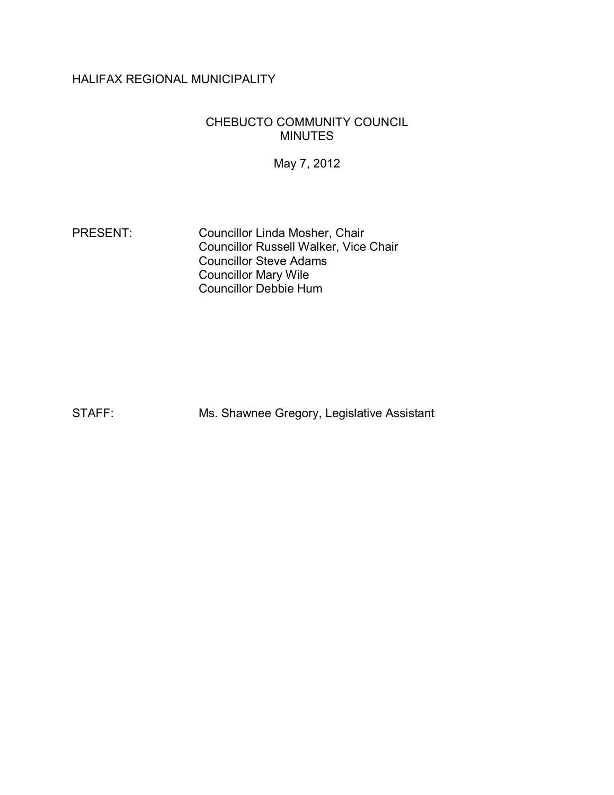# HALIFAX REGIONAL MUNICIPALITY

#### CHEBUCTO COMMUNITY COUNCIL MINUTES

May 7, 2012

PRESENT: Councillor Linda Mosher, Chair Councillor Russell Walker, Vice Chair Councillor Steve Adams Councillor Mary Wile Councillor Debbie Hum

STAFF: Ms. Shawnee Gregory, Legislative Assistant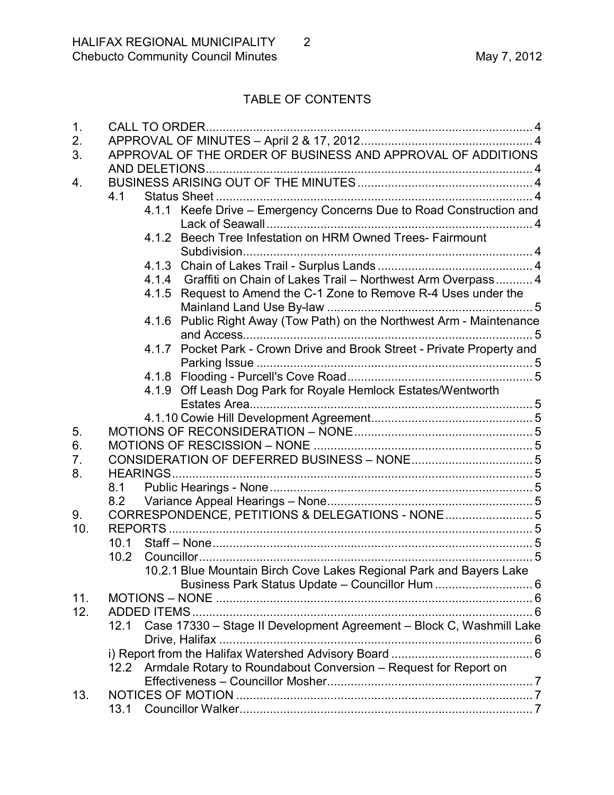# TABLE OF CONTENTS

| 1.         |                                                                              | <b>CALL TO ORDER.</b>                                                   |  |  |
|------------|------------------------------------------------------------------------------|-------------------------------------------------------------------------|--|--|
| 2.         |                                                                              |                                                                         |  |  |
| 3.         | APPROVAL OF THE ORDER OF BUSINESS AND APPROVAL OF ADDITIONS                  |                                                                         |  |  |
|            |                                                                              |                                                                         |  |  |
| 4.         |                                                                              |                                                                         |  |  |
|            | 4.1                                                                          |                                                                         |  |  |
|            |                                                                              | 4.1.1 Keefe Drive - Emergency Concerns Due to Road Construction and     |  |  |
|            |                                                                              |                                                                         |  |  |
|            |                                                                              | 4.1.2 Beech Tree Infestation on HRM Owned Trees- Fairmount              |  |  |
|            |                                                                              |                                                                         |  |  |
|            |                                                                              |                                                                         |  |  |
|            |                                                                              | 4.1.4 Graffiti on Chain of Lakes Trail - Northwest Arm Overpass 4       |  |  |
|            |                                                                              | 4.1.5 Request to Amend the C-1 Zone to Remove R-4 Uses under the        |  |  |
|            |                                                                              |                                                                         |  |  |
|            | 4.1.6                                                                        | Public Right Away (Tow Path) on the Northwest Arm - Maintenance         |  |  |
|            |                                                                              |                                                                         |  |  |
|            |                                                                              | 4.1.7 Pocket Park - Crown Drive and Brook Street - Private Property and |  |  |
|            |                                                                              |                                                                         |  |  |
|            |                                                                              |                                                                         |  |  |
|            |                                                                              | 4.1.9 Off Leash Dog Park for Royale Hemlock Estates/Wentworth           |  |  |
|            |                                                                              |                                                                         |  |  |
|            |                                                                              |                                                                         |  |  |
| 5.<br>6.   |                                                                              |                                                                         |  |  |
|            |                                                                              |                                                                         |  |  |
| 7.         |                                                                              |                                                                         |  |  |
| 8.         | <b>HEARINGS</b>                                                              |                                                                         |  |  |
|            | 8.1                                                                          |                                                                         |  |  |
|            | 8.2                                                                          |                                                                         |  |  |
| 9.         |                                                                              | CORRESPONDENCE, PETITIONS & DELEGATIONS - NONE 5                        |  |  |
| 10.        |                                                                              |                                                                         |  |  |
|            | 10.1                                                                         |                                                                         |  |  |
|            | 10.2                                                                         |                                                                         |  |  |
|            |                                                                              | 10.2.1 Blue Mountain Birch Cove Lakes Regional Park and Bayers Lake     |  |  |
|            |                                                                              | Business Park Status Update - Councillor Hum  6                         |  |  |
| 11.<br>12. |                                                                              |                                                                         |  |  |
|            |                                                                              |                                                                         |  |  |
|            | Case 17330 - Stage II Development Agreement - Block C, Washmill Lake<br>12.1 |                                                                         |  |  |
|            |                                                                              |                                                                         |  |  |
|            |                                                                              |                                                                         |  |  |
|            | 12.2 Armdale Rotary to Roundabout Conversion - Request for Report on         |                                                                         |  |  |
| 13.        |                                                                              |                                                                         |  |  |
|            |                                                                              |                                                                         |  |  |
|            |                                                                              |                                                                         |  |  |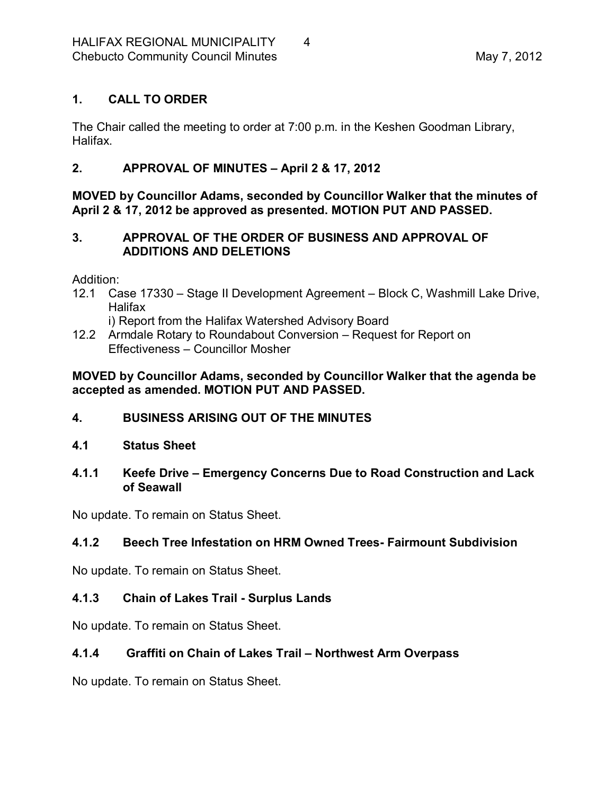## <span id="page-3-0"></span>**1. CALL TO ORDER**

The Chair called the meeting to order at 7:00 p.m. in the Keshen Goodman Library, Halifax.

# <span id="page-3-1"></span>**2. APPROVAL OF MINUTES – April 2 & 17, 2012**

**MOVED by Councillor Adams, seconded by Councillor Walker that the minutes of April 2 & 17, 2012 be approved as presented. MOTION PUT AND PASSED.** 

## <span id="page-3-2"></span>**3. APPROVAL OF THE ORDER OF BUSINESS AND APPROVAL OF ADDITIONS AND DELETIONS**

Addition:

12.1 Case 17330 – Stage II Development Agreement – Block C, Washmill Lake Drive, Halifax

i) Report from the Halifax Watershed Advisory Board

12.2 Armdale Rotary to Roundabout Conversion – Request for Report on Effectiveness – Councillor Mosher

**MOVED by Councillor Adams, seconded by Councillor Walker that the agenda be accepted as amended. MOTION PUT AND PASSED.** 

- <span id="page-3-3"></span>**4. BUSINESS ARISING OUT OF THE MINUTES**
- <span id="page-3-4"></span>**4.1 Status Sheet**
- <span id="page-3-5"></span>**4.1.1 Keefe Drive – Emergency Concerns Due to Road Construction and Lack of Seawall**

No update. To remain on Status Sheet.

## <span id="page-3-6"></span>**4.1.2 Beech Tree Infestation on HRM Owned Trees Fairmount Subdivision**

No update. To remain on Status Sheet.

## <span id="page-3-7"></span>**4.1.3 Chain of Lakes Trail Surplus Lands**

No update. To remain on Status Sheet.

# <span id="page-3-8"></span>**4.1.4 Graffiti on Chain of Lakes Trail – Northwest Arm Overpass**

No update. To remain on Status Sheet.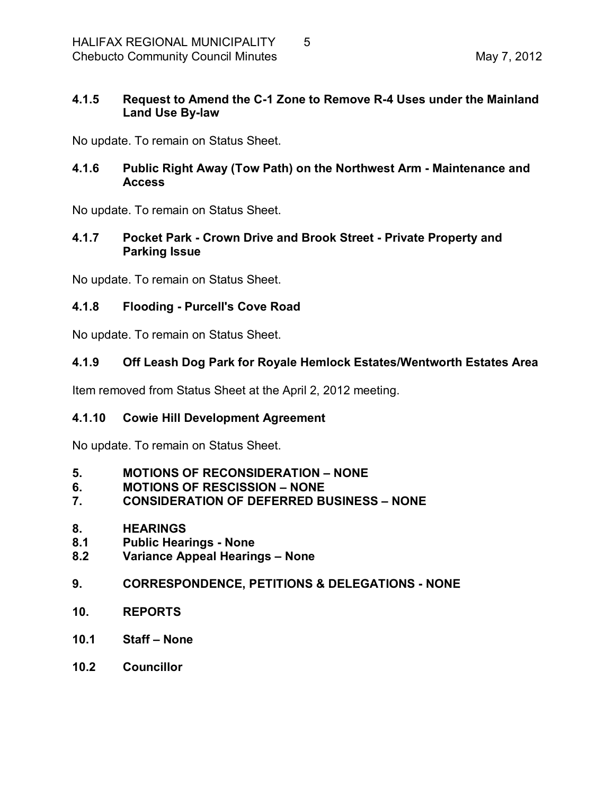#### <span id="page-4-0"></span>**4.1.5 Request to Amend the C1 Zone to Remove R4 Uses under the Mainland** Land Use By-law

No update. To remain on Status Sheet.

## <span id="page-4-1"></span>**4.1.6 Public Right Away (Tow Path) on the Northwest Arm Maintenance and Access**

No update. To remain on Status Sheet.

#### <span id="page-4-2"></span>**4.1.7 Pocket Park Crown Drive and Brook Street Private Property and Parking Issue**

No update. To remain on Status Sheet.

## <span id="page-4-3"></span>**4.1.8 Flooding Purcell's Cove Road**

No update. To remain on Status Sheet.

## <span id="page-4-4"></span>**4.1.9 Off Leash Dog Park for Royale Hemlock Estates/Wentworth Estates Area**

Item removed from Status Sheet at the April 2, 2012 meeting.

## <span id="page-4-5"></span>**4.1.10 Cowie Hill Development Agreement**

No update. To remain on Status Sheet.

- <span id="page-4-6"></span>**5. MOTIONS OF RECONSIDERATION – NONE**
- <span id="page-4-7"></span>**6. MOTIONS OF RESCISSION – NONE**
- <span id="page-4-8"></span>**7. CONSIDERATION OF DEFERRED BUSINESS – NONE**
- <span id="page-4-9"></span>**8. HEARINGS**
- <span id="page-4-10"></span>**8.1 Public Hearings None**
- <span id="page-4-11"></span>**8.2 Variance Appeal Hearings – None**
- <span id="page-4-12"></span>**9. CORRESPONDENCE, PETITIONS & DELEGATIONS NONE**
- <span id="page-4-13"></span>**10. REPORTS**
- <span id="page-4-14"></span>**10.1 Staff – None**
- <span id="page-4-15"></span>**10.2 Councillor**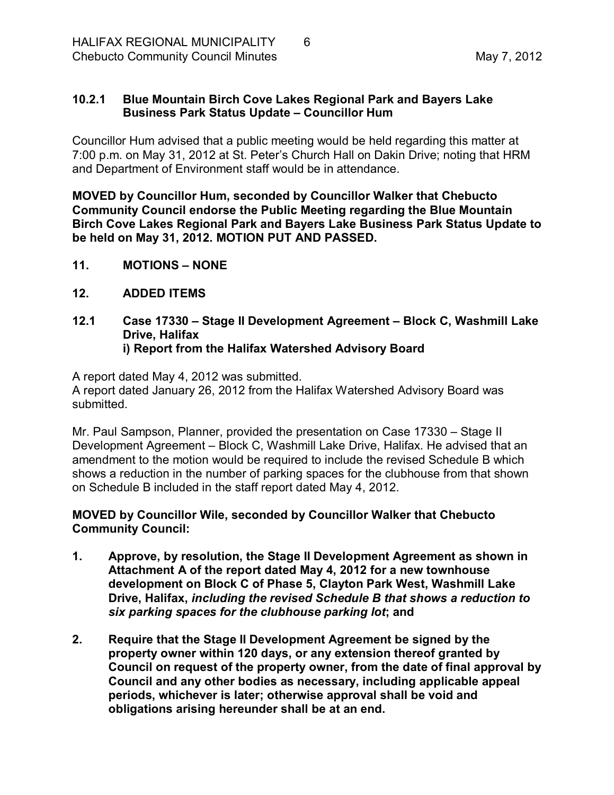#### <span id="page-5-0"></span>**10.2.1 Blue Mountain Birch Cove Lakes Regional Park and Bayers Lake Business Park Status Update – Councillor Hum**

Councillor Hum advised that a public meeting would be held regarding this matter at 7:00 p.m. on May 31, 2012 at St. Peter's Church Hall on Dakin Drive; noting that HRM and Department of Environment staff would be in attendance.

**MOVED by Councillor Hum, seconded by Councillor Walker that Chebucto Community Council endorse the Public Meeting regarding the Blue Mountain Birch Cove Lakes Regional Park and Bayers Lake Business Park Status Update to be held on May 31, 2012. MOTION PUT AND PASSED.** 

- <span id="page-5-1"></span>**11. MOTIONS – NONE**
- <span id="page-5-2"></span>**12. ADDED ITEMS**
- <span id="page-5-4"></span><span id="page-5-3"></span>**12.1 Case 17330 – Stage II Development Agreement – Block C, Washmill Lake Drive, Halifax i) Report from the Halifax Watershed Advisory Board**

A report dated May 4, 2012 was submitted.

A report dated January 26, 2012 from the Halifax Watershed Advisory Board was submitted.

Mr. Paul Sampson, Planner, provided the presentation on Case 17330 – Stage II Development Agreement – Block C, Washmill Lake Drive, Halifax. He advised that an amendment to the motion would be required to include the revised Schedule B which shows a reduction in the number of parking spaces for the clubhouse from that shown on Schedule B included in the staff report dated May 4, 2012.

**MOVED by Councillor Wile, seconded by Councillor Walker that Chebucto Community Council:**

- **1. Approve, by resolution, the Stage II Development Agreement as shown in Attachment A of the report dated May 4, 2012 for a new townhouse development on Block C of Phase 5, Clayton Park West, Washmill Lake Drive, Halifax,** *including the revised Schedule B that shows a reduction to six parking spaces for the clubhouse parking lot***; and**
- **2. Require that the Stage II Development Agreement be signed by the property owner within 120 days, or any extension thereof granted by Council on request of the property owner, from the date of final approval by Council and any other bodies as necessary, including applicable appeal periods, whichever is later; otherwise approval shall be void and obligations arising hereunder shall be at an end.**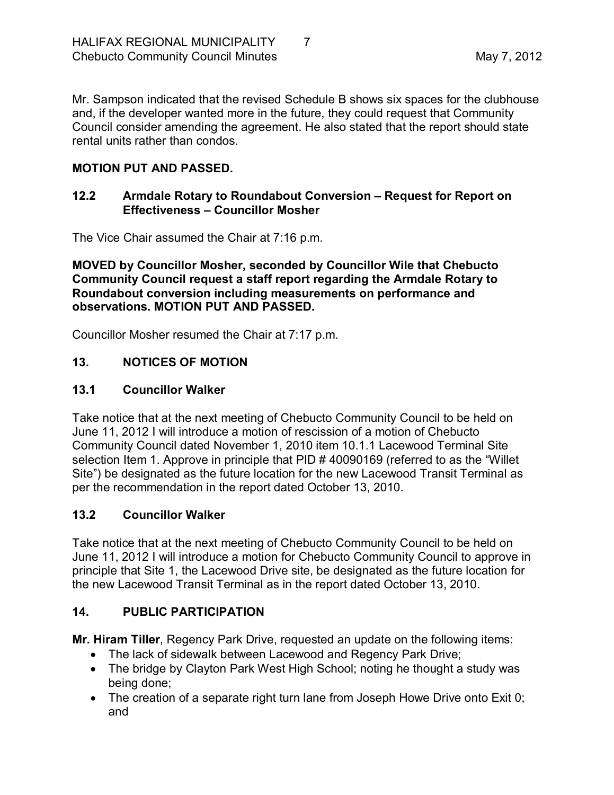Mr. Sampson indicated that the revised Schedule B shows six spaces for the clubhouse and, if the developer wanted more in the future, they could request that Community Council consider amending the agreement. He also stated that the report should state rental units rather than condos.

## **MOTION PUT AND PASSED.**

#### <span id="page-6-0"></span>**12.2 Armdale Rotary to Roundabout Conversion – Request for Report on Effectiveness – Councillor Mosher**

The Vice Chair assumed the Chair at 7:16 p.m.

**MOVED by Councillor Mosher, seconded by Councillor Wile that Chebucto Community Council request a staff report regarding the Armdale Rotary to Roundabout conversion including measurements on performance and observations. MOTION PUT AND PASSED.**

Councillor Mosher resumed the Chair at 7:17 p.m.

# <span id="page-6-1"></span>**13. NOTICES OF MOTION**

## <span id="page-6-2"></span>**13.1 Councillor Walker**

Take notice that at the next meeting of Chebucto Community Council to be held on June 11, 2012 I will introduce a motion of rescission of a motion of Chebucto Community Council dated November 1, 2010 item 10.1.1 Lacewood Terminal Site selection Item 1. Approve in principle that PID # 40090169 (referred to as the "Willet Site") be designated as the future location for the new Lacewood Transit Terminal as per the recommendation in the report dated October 13, 2010.

## <span id="page-6-3"></span>**13.2 Councillor Walker**

Take notice that at the next meeting of Chebucto Community Council to be held on June 11, 2012 I will introduce a motion for Chebucto Community Council to approve in principle that Site 1, the Lacewood Drive site, be designated as the future location for the new Lacewood Transit Terminal as in the report dated October 13, 2010.

## <span id="page-6-4"></span>**14. PUBLIC PARTICIPATION**

**Mr. Hiram Tiller**, Regency Park Drive, requested an update on the following items:

- The lack of sidewalk between Lacewood and Regency Park Drive;
- The bridge by Clayton Park West High School; noting he thought a study was being done;
- The creation of a separate right turn lane from Joseph Howe Drive onto Exit 0; and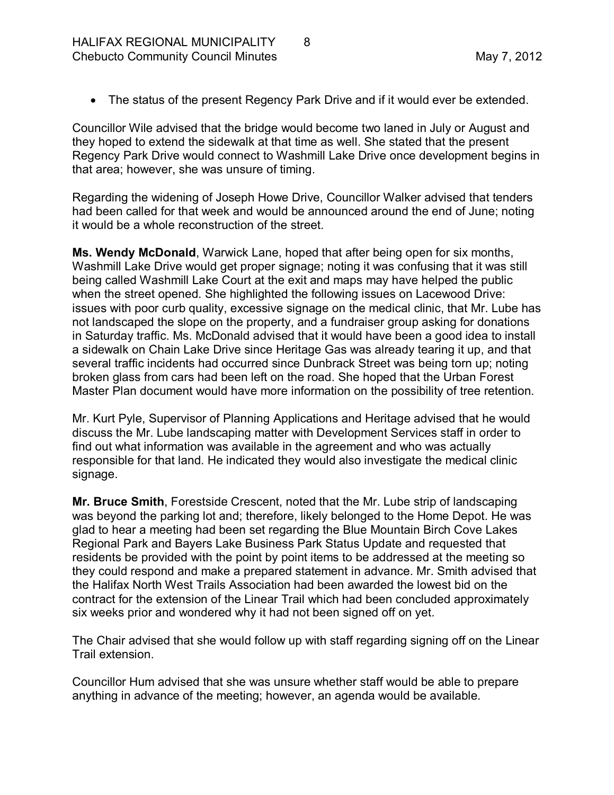· The status of the present Regency Park Drive and if it would ever be extended.

Councillor Wile advised that the bridge would become two laned in July or August and they hoped to extend the sidewalk at that time as well. She stated that the present Regency Park Drive would connect to Washmill Lake Drive once development begins in that area; however, she was unsure of timing.

Regarding the widening of Joseph Howe Drive, Councillor Walker advised that tenders had been called for that week and would be announced around the end of June; noting it would be a whole reconstruction of the street.

**Ms. Wendy McDonald**, Warwick Lane, hoped that after being open for six months, Washmill Lake Drive would get proper signage; noting it was confusing that it was still being called Washmill Lake Court at the exit and maps may have helped the public when the street opened. She highlighted the following issues on Lacewood Drive: issues with poor curb quality, excessive signage on the medical clinic, that Mr. Lube has not landscaped the slope on the property, and a fundraiser group asking for donations in Saturday traffic. Ms. McDonald advised that it would have been a good idea to install a sidewalk on Chain Lake Drive since Heritage Gas was already tearing it up, and that several traffic incidents had occurred since Dunbrack Street was being torn up; noting broken glass from cars had been left on the road. She hoped that the Urban Forest Master Plan document would have more information on the possibility of tree retention.

Mr. Kurt Pyle, Supervisor of Planning Applications and Heritage advised that he would discuss the Mr. Lube landscaping matter with Development Services staff in order to find out what information was available in the agreement and who was actually responsible for that land. He indicated they would also investigate the medical clinic signage.

**Mr. Bruce Smith**, Forestside Crescent, noted that the Mr. Lube strip of landscaping was beyond the parking lot and; therefore, likely belonged to the Home Depot. He was glad to hear a meeting had been set regarding the Blue Mountain Birch Cove Lakes Regional Park and Bayers Lake Business Park Status Update and requested that residents be provided with the point by point items to be addressed at the meeting so they could respond and make a prepared statement in advance. Mr. Smith advised that the Halifax North West Trails Association had been awarded the lowest bid on the contract for the extension of the Linear Trail which had been concluded approximately six weeks prior and wondered why it had not been signed off on yet.

The Chair advised that she would follow up with staff regarding signing off on the Linear Trail extension.

Councillor Hum advised that she was unsure whether staff would be able to prepare anything in advance of the meeting; however, an agenda would be available.